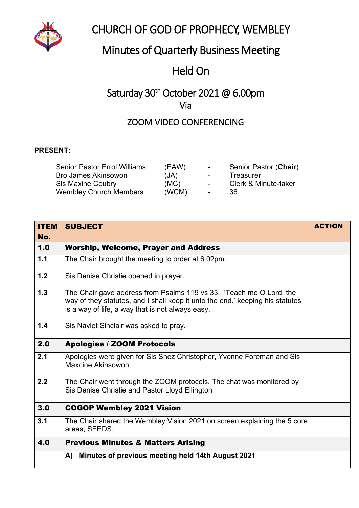

## CHURCH OF GOD OF PROPHECY, WEMBLEY

## Minutes of Quarterly Business Meeting

# Held On

## Saturday 30<sup>th</sup> October 2021 @ 6.00pm Via

### ZOOM VIDEO CONFERENCING

#### **PRESENT:**

| <b>Senior Pastor Errol Williams</b> | (EAW) | $\sim$ 100 $\mu$ | Senior Pastor (Chair) |
|-------------------------------------|-------|------------------|-----------------------|
| <b>Bro James Akinsowon</b>          | (JA)  | $\sim$ 100 $\mu$ | Treasurer             |
| <b>Sis Maxine Coubry</b>            | (MC)  | $\sim$           | Clerk & Minute-taker  |
| <b>Wembley Church Members</b>       | (WCM) | $\sim$ $\sim$    | -36                   |

| <b>ITEM</b> | <b>SUBJECT</b>                                                                                                                                                                                         | <b>ACTION</b> |
|-------------|--------------------------------------------------------------------------------------------------------------------------------------------------------------------------------------------------------|---------------|
| No.         |                                                                                                                                                                                                        |               |
| 1.0         | <b>Worship, Welcome, Prayer and Address</b>                                                                                                                                                            |               |
| 1.1         | The Chair brought the meeting to order at 6.02pm.                                                                                                                                                      |               |
| 1.2         | Sis Denise Christie opened in prayer.                                                                                                                                                                  |               |
| 1.3         | The Chair gave address from Psalms 119 vs 33'Teach me O Lord, the<br>way of they statutes, and I shall keep it unto the end.' keeping his statutes<br>is a way of life, a way that is not always easy. |               |
| 1.4         | Sis Navlet Sinclair was asked to pray.                                                                                                                                                                 |               |
| 2.0         | <b>Apologies / ZOOM Protocols</b>                                                                                                                                                                      |               |
| 2.1         | Apologies were given for Sis Shez Christopher, Yvonne Foreman and Sis<br>Maxcine Akinsowon.                                                                                                            |               |
| 2.2         | The Chair went through the ZOOM protocols. The chat was monitored by<br>Sis Denise Christie and Pastor Lloyd Ellington                                                                                 |               |
| 3.0         | <b>COGOP Wembley 2021 Vision</b>                                                                                                                                                                       |               |
| 3.1         | The Chair shared the Wembley Vision 2021 on screen explaining the 5 core<br>areas, SEEDS.                                                                                                              |               |
| 4.0         | <b>Previous Minutes &amp; Matters Arising</b>                                                                                                                                                          |               |
|             | Minutes of previous meeting held 14th August 2021<br>A)                                                                                                                                                |               |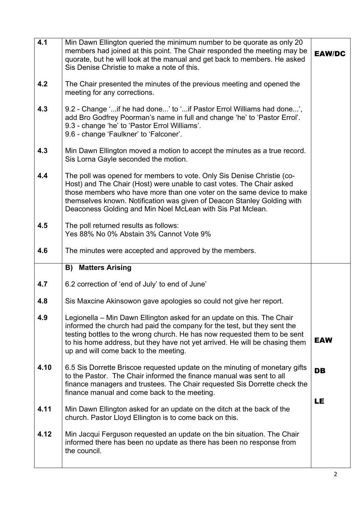| 4.1  | Min Dawn Ellington queried the minimum number to be quorate as only 20<br>members had joined at this point. The Chair responded the meeting may be<br>quorate, but he will look at the manual and get back to members. He asked<br>Sis Denise Christie to make a note of this.                                                                                    | <b>EAW/DC</b>   |
|------|-------------------------------------------------------------------------------------------------------------------------------------------------------------------------------------------------------------------------------------------------------------------------------------------------------------------------------------------------------------------|-----------------|
| 4.2  | The Chair presented the minutes of the previous meeting and opened the<br>meeting for any corrections.                                                                                                                                                                                                                                                            |                 |
| 4.3  | 9.2 - Change 'if he had done' to 'if Pastor Errol Williams had done',<br>add Bro Godfrey Poorman's name in full and change 'he' to 'Pastor Errol'.<br>9.3 - change 'he' to 'Pastor Errol Williams'.<br>9.6 - change 'Faulkner' to 'Falconer'.                                                                                                                     |                 |
| 4.3  | Min Dawn Ellington moved a motion to accept the minutes as a true record.<br>Sis Lorna Gayle seconded the motion.                                                                                                                                                                                                                                                 |                 |
| 4.4  | The poll was opened for members to vote. Only Sis Denise Christie (co-<br>Host) and The Chair (Host) were unable to cast votes. The Chair asked<br>those members who have more than one voter on the same device to make<br>themselves known. Notification was given of Deacon Stanley Golding with<br>Deaconess Golding and Min Noel McLean with Sis Pat Mclean. |                 |
| 4.5  | The poll returned results as follows:<br>Yes 88% No 0% Abstain 3% Cannot Vote 9%                                                                                                                                                                                                                                                                                  |                 |
| 4.6  | The minutes were accepted and approved by the members.                                                                                                                                                                                                                                                                                                            |                 |
|      | <b>B) Matters Arising</b>                                                                                                                                                                                                                                                                                                                                         |                 |
| 4.7  | 6.2 correction of 'end of July' to end of June'                                                                                                                                                                                                                                                                                                                   |                 |
| 4.8  | Sis Maxcine Akinsowon gave apologies so could not give her report.                                                                                                                                                                                                                                                                                                |                 |
| 4.9  | Legionella – Min Dawn Ellington asked for an update on this. The Chair<br>informed the church had paid the company for the test, but they sent the<br>testing bottles to the wrong church. He has now requested them to be sent<br>to his home address, but they have not yet arrived. He will be chasing them<br>up and will come back to the meeting.           | <b>EAW</b>      |
| 4.10 | 6.5 Sis Dorrette Briscoe requested update on the minuting of monetary gifts<br>to the Pastor. The Chair informed the finance manual was sent to all<br>finance managers and trustees. The Chair requested Sis Dorrette check the<br>finance manual and come back to the meeting.                                                                                  | <b>DB</b><br>LE |
| 4.11 | Min Dawn Ellington asked for an update on the ditch at the back of the<br>church. Pastor Lloyd Ellington is to come back on this.                                                                                                                                                                                                                                 |                 |
| 4.12 | Min Jacqui Ferguson requested an update on the bin situation. The Chair<br>informed there has been no update as there has been no response from<br>the council.                                                                                                                                                                                                   |                 |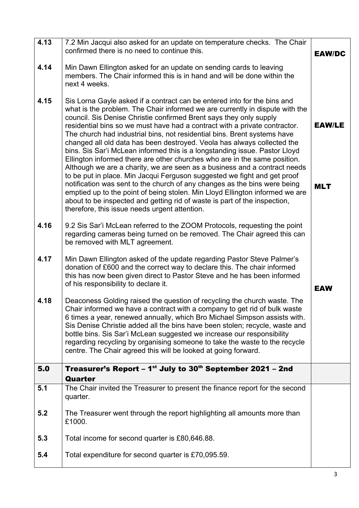| 4.13 | 7.2 Min Jacqui also asked for an update on temperature checks. The Chair<br>confirmed there is no need to continue this.                                                                                                                                                                                                                                                                                                                                                                                                                                                                                                                                                                                                                                                                                                                                                                                                                                                                                                                                                           | <b>EAW/DC</b>               |
|------|------------------------------------------------------------------------------------------------------------------------------------------------------------------------------------------------------------------------------------------------------------------------------------------------------------------------------------------------------------------------------------------------------------------------------------------------------------------------------------------------------------------------------------------------------------------------------------------------------------------------------------------------------------------------------------------------------------------------------------------------------------------------------------------------------------------------------------------------------------------------------------------------------------------------------------------------------------------------------------------------------------------------------------------------------------------------------------|-----------------------------|
| 4.14 | Min Dawn Ellington asked for an update on sending cards to leaving<br>members. The Chair informed this is in hand and will be done within the<br>next 4 weeks.                                                                                                                                                                                                                                                                                                                                                                                                                                                                                                                                                                                                                                                                                                                                                                                                                                                                                                                     |                             |
| 4.15 | Sis Lorna Gayle asked if a contract can be entered into for the bins and<br>what is the problem. The Chair informed we are currently in dispute with the<br>council. Sis Denise Christie confirmed Brent says they only supply<br>residential bins so we must have had a contract with a private contractor.<br>The church had industrial bins, not residential bins. Brent systems have<br>changed all old data has been destroyed. Veola has always collected the<br>bins. Sis Sar'i McLean informed this is a longstanding issue. Pastor Lloyd<br>Ellington informed there are other churches who are in the same position.<br>Although we are a charity, we are seen as a business and a contract needs<br>to be put in place. Min Jacqui Ferguson suggested we fight and get proof<br>notification was sent to the church of any changes as the bins were being<br>emptied up to the point of being stolen. Min Lloyd Ellington informed we are<br>about to be inspected and getting rid of waste is part of the inspection,<br>therefore, this issue needs urgent attention. | <b>EAW/LE</b><br><b>MLT</b> |
| 4.16 | 9.2 Sis Sar'i McLean referred to the ZOOM Protocols, requesting the point<br>regarding cameras being turned on be removed. The Chair agreed this can<br>be removed with MLT agreement.                                                                                                                                                                                                                                                                                                                                                                                                                                                                                                                                                                                                                                                                                                                                                                                                                                                                                             |                             |
| 4.17 | Min Dawn Ellington asked of the update regarding Pastor Steve Palmer's<br>donation of £600 and the correct way to declare this. The chair informed<br>this has now been given direct to Pastor Steve and he has been informed<br>of his responsibility to declare it.                                                                                                                                                                                                                                                                                                                                                                                                                                                                                                                                                                                                                                                                                                                                                                                                              | <b>EAW</b>                  |
| 4.18 | Deaconess Golding raised the question of recycling the church waste. The<br>Chair informed we have a contract with a company to get rid of bulk waste<br>6 times a year, renewed annually, which Bro Michael Simpson assists with.<br>Sis Denise Christie added all the bins have been stolen; recycle, waste and<br>bottle bins. Sis Sar'i McLean suggested we increase our responsibility<br>regarding recycling by organising someone to take the waste to the recycle<br>centre. The Chair agreed this will be looked at going forward.                                                                                                                                                                                                                                                                                                                                                                                                                                                                                                                                        |                             |
| 5.0  | Treasurer's Report – $1^{st}$ July to 30 <sup>th</sup> September 2021 – 2nd<br>Quarter                                                                                                                                                                                                                                                                                                                                                                                                                                                                                                                                                                                                                                                                                                                                                                                                                                                                                                                                                                                             |                             |
| 5.1  | The Chair invited the Treasurer to present the finance report for the second<br>quarter.                                                                                                                                                                                                                                                                                                                                                                                                                                                                                                                                                                                                                                                                                                                                                                                                                                                                                                                                                                                           |                             |
| 5.2  | The Treasurer went through the report highlighting all amounts more than<br>£1000.                                                                                                                                                                                                                                                                                                                                                                                                                                                                                                                                                                                                                                                                                                                                                                                                                                                                                                                                                                                                 |                             |
| 5.3  | Total income for second quarter is £80,646.88.                                                                                                                                                                                                                                                                                                                                                                                                                                                                                                                                                                                                                                                                                                                                                                                                                                                                                                                                                                                                                                     |                             |
| 5.4  | Total expenditure for second quarter is £70,095.59.                                                                                                                                                                                                                                                                                                                                                                                                                                                                                                                                                                                                                                                                                                                                                                                                                                                                                                                                                                                                                                |                             |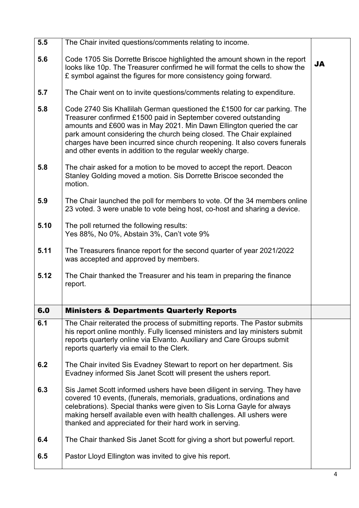| 5.5  | The Chair invited questions/comments relating to income.                                                                                                                                                                                                                                                                                                                                                                                |           |
|------|-----------------------------------------------------------------------------------------------------------------------------------------------------------------------------------------------------------------------------------------------------------------------------------------------------------------------------------------------------------------------------------------------------------------------------------------|-----------|
|      |                                                                                                                                                                                                                                                                                                                                                                                                                                         |           |
| 5.6  | Code 1705 Sis Dorrette Briscoe highlighted the amount shown in the report<br>looks like 10p. The Treasurer confirmed he will format the cells to show the<br>£ symbol against the figures for more consistency going forward.                                                                                                                                                                                                           | <b>JA</b> |
| 5.7  | The Chair went on to invite questions/comments relating to expenditure.                                                                                                                                                                                                                                                                                                                                                                 |           |
| 5.8  | Code 2740 Sis Khallilah German questioned the £1500 for car parking. The<br>Treasurer confirmed £1500 paid in September covered outstanding<br>amounts and £600 was in May 2021. Min Dawn Ellington queried the car<br>park amount considering the church being closed. The Chair explained<br>charges have been incurred since church reopening. It also covers funerals<br>and other events in addition to the regular weekly charge. |           |
| 5.8  | The chair asked for a motion to be moved to accept the report. Deacon<br>Stanley Golding moved a motion. Sis Dorrette Briscoe seconded the<br>motion.                                                                                                                                                                                                                                                                                   |           |
| 5.9  | The Chair launched the poll for members to vote. Of the 34 members online<br>23 voted. 3 were unable to vote being host, co-host and sharing a device.                                                                                                                                                                                                                                                                                  |           |
| 5.10 | The poll returned the following results:<br>Yes 88%, No 0%, Abstain 3%, Can't vote 9%                                                                                                                                                                                                                                                                                                                                                   |           |
| 5.11 | The Treasurers finance report for the second quarter of year 2021/2022<br>was accepted and approved by members.                                                                                                                                                                                                                                                                                                                         |           |
| 5.12 | The Chair thanked the Treasurer and his team in preparing the finance<br>report.                                                                                                                                                                                                                                                                                                                                                        |           |
| 6.0  | <b>Ministers &amp; Departments Quarterly Reports</b>                                                                                                                                                                                                                                                                                                                                                                                    |           |
| 6.1  | The Chair reiterated the process of submitting reports. The Pastor submits<br>his report online monthly. Fully licensed ministers and lay ministers submit<br>reports quarterly online via Elvanto. Auxiliary and Care Groups submit<br>reports quarterly via email to the Clerk.                                                                                                                                                       |           |
| 6.2  | The Chair invited Sis Evadney Stewart to report on her department. Sis<br>Evadney informed Sis Janet Scott will present the ushers report.                                                                                                                                                                                                                                                                                              |           |
| 6.3  | Sis Jamet Scott informed ushers have been diligent in serving. They have<br>covered 10 events, (funerals, memorials, graduations, ordinations and<br>celebrations). Special thanks were given to Sis Lorna Gayle for always<br>making herself available even with health challenges. All ushers were<br>thanked and appreciated for their hard work in serving.                                                                         |           |
| 6.4  | The Chair thanked Sis Janet Scott for giving a short but powerful report.                                                                                                                                                                                                                                                                                                                                                               |           |
| 6.5  | Pastor Lloyd Ellington was invited to give his report.                                                                                                                                                                                                                                                                                                                                                                                  |           |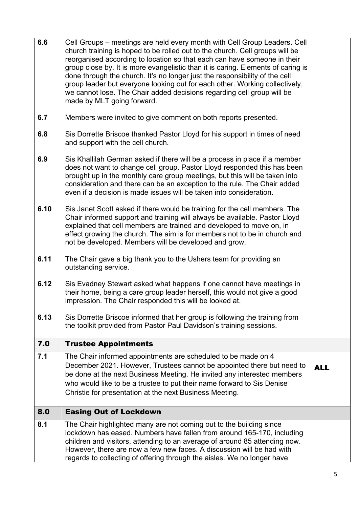| 6.6  | Cell Groups – meetings are held every month with Cell Group Leaders. Cell<br>church training is hoped to be rolled out to the church. Cell groups will be<br>reorganised according to location so that each can have someone in their<br>group close by. It is more evangelistic than it is caring. Elements of caring is<br>done through the church. It's no longer just the responsibility of the cell<br>group leader but everyone looking out for each other. Working collectively,<br>we cannot lose. The Chair added decisions regarding cell group will be<br>made by MLT going forward. |            |
|------|-------------------------------------------------------------------------------------------------------------------------------------------------------------------------------------------------------------------------------------------------------------------------------------------------------------------------------------------------------------------------------------------------------------------------------------------------------------------------------------------------------------------------------------------------------------------------------------------------|------------|
| 6.7  | Members were invited to give comment on both reports presented.                                                                                                                                                                                                                                                                                                                                                                                                                                                                                                                                 |            |
| 6.8  | Sis Dorrette Briscoe thanked Pastor Lloyd for his support in times of need<br>and support with the cell church.                                                                                                                                                                                                                                                                                                                                                                                                                                                                                 |            |
| 6.9  | Sis Khallilah German asked if there will be a process in place if a member<br>does not want to change cell group. Pastor Lloyd responded this has been<br>brought up in the monthly care group meetings, but this will be taken into<br>consideration and there can be an exception to the rule. The Chair added<br>even if a decision is made issues will be taken into consideration.                                                                                                                                                                                                         |            |
| 6.10 | Sis Janet Scott asked if there would be training for the cell members. The<br>Chair informed support and training will always be available. Pastor Lloyd<br>explained that cell members are trained and developed to move on, in<br>effect growing the church. The aim is for members not to be in church and<br>not be developed. Members will be developed and grow.                                                                                                                                                                                                                          |            |
| 6.11 | The Chair gave a big thank you to the Ushers team for providing an<br>outstanding service.                                                                                                                                                                                                                                                                                                                                                                                                                                                                                                      |            |
| 6.12 | Sis Evadney Stewart asked what happens if one cannot have meetings in<br>their home, being a care group leader herself, this would not give a good<br>impression. The Chair responded this will be looked at.                                                                                                                                                                                                                                                                                                                                                                                   |            |
| 6.13 | Sis Dorrette Briscoe informed that her group is following the training from<br>the toolkit provided from Pastor Paul Davidson's training sessions.                                                                                                                                                                                                                                                                                                                                                                                                                                              |            |
| 7.0  | <b>Trustee Appointments</b>                                                                                                                                                                                                                                                                                                                                                                                                                                                                                                                                                                     |            |
| 7.1  | The Chair informed appointments are scheduled to be made on 4<br>December 2021. However, Trustees cannot be appointed there but need to<br>be done at the next Business Meeting. He invited any interested members<br>who would like to be a trustee to put their name forward to Sis Denise<br>Christie for presentation at the next Business Meeting.                                                                                                                                                                                                                                         | <b>ALL</b> |
| 8.0  | <b>Easing Out of Lockdown</b>                                                                                                                                                                                                                                                                                                                                                                                                                                                                                                                                                                   |            |
| 8.1  | The Chair highlighted many are not coming out to the building since<br>lockdown has eased. Numbers have fallen from around 165-170, including<br>children and visitors, attending to an average of around 85 attending now.<br>However, there are now a few new faces. A discussion will be had with<br>regards to collecting of offering through the aisles. We no longer have                                                                                                                                                                                                                 |            |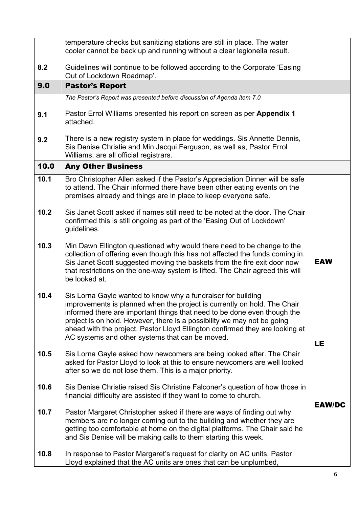|      | temperature checks but sanitizing stations are still in place. The water<br>cooler cannot be back up and running without a clear legionella result.                                                                                                                                                                                                                                                                                |               |
|------|------------------------------------------------------------------------------------------------------------------------------------------------------------------------------------------------------------------------------------------------------------------------------------------------------------------------------------------------------------------------------------------------------------------------------------|---------------|
| 8.2  | Guidelines will continue to be followed according to the Corporate 'Easing<br>Out of Lockdown Roadmap'.                                                                                                                                                                                                                                                                                                                            |               |
| 9.0  | <b>Pastor's Report</b>                                                                                                                                                                                                                                                                                                                                                                                                             |               |
|      | The Pastor's Report was presented before discussion of Agenda item 7.0                                                                                                                                                                                                                                                                                                                                                             |               |
| 9.1  | Pastor Errol Williams presented his report on screen as per Appendix 1<br>attached.                                                                                                                                                                                                                                                                                                                                                |               |
| 9.2  | There is a new registry system in place for weddings. Sis Annette Dennis,<br>Sis Denise Christie and Min Jacqui Ferguson, as well as, Pastor Errol<br>Williams, are all official registrars.                                                                                                                                                                                                                                       |               |
| 10.0 | <b>Any Other Business</b>                                                                                                                                                                                                                                                                                                                                                                                                          |               |
| 10.1 | Bro Christopher Allen asked if the Pastor's Appreciation Dinner will be safe<br>to attend. The Chair informed there have been other eating events on the<br>premises already and things are in place to keep everyone safe.                                                                                                                                                                                                        |               |
| 10.2 | Sis Janet Scott asked if names still need to be noted at the door. The Chair<br>confirmed this is still ongoing as part of the 'Easing Out of Lockdown'<br>guidelines.                                                                                                                                                                                                                                                             |               |
| 10.3 | Min Dawn Ellington questioned why would there need to be change to the<br>collection of offering even though this has not affected the funds coming in.<br>Sis Janet Scott suggested moving the baskets from the fire exit door now<br>that restrictions on the one-way system is lifted. The Chair agreed this will<br>be looked at.                                                                                              | <b>EAW</b>    |
| 10.4 | Sis Lorna Gayle wanted to know why a fundraiser for building<br>improvements is planned when the project is currently on hold. The Chair<br>informed there are important things that need to be done even though the<br>project is on hold. However, there is a possibility we may not be going<br>ahead with the project. Pastor Lloyd Ellington confirmed they are looking at<br>AC systems and other systems that can be moved. | LE            |
| 10.5 | Sis Lorna Gayle asked how newcomers are being looked after. The Chair<br>asked for Pastor Lloyd to look at this to ensure newcomers are well looked<br>after so we do not lose them. This is a major priority.                                                                                                                                                                                                                     |               |
| 10.6 | Sis Denise Christie raised Sis Christine Falconer's question of how those in<br>financial difficulty are assisted if they want to come to church.                                                                                                                                                                                                                                                                                  | <b>EAW/DC</b> |
| 10.7 | Pastor Margaret Christopher asked if there are ways of finding out why<br>members are no longer coming out to the building and whether they are<br>getting too comfortable at home on the digital platforms. The Chair said he<br>and Sis Denise will be making calls to them starting this week.                                                                                                                                  |               |
| 10.8 | In response to Pastor Margaret's request for clarity on AC units, Pastor<br>Lloyd explained that the AC units are ones that can be unplumbed,                                                                                                                                                                                                                                                                                      |               |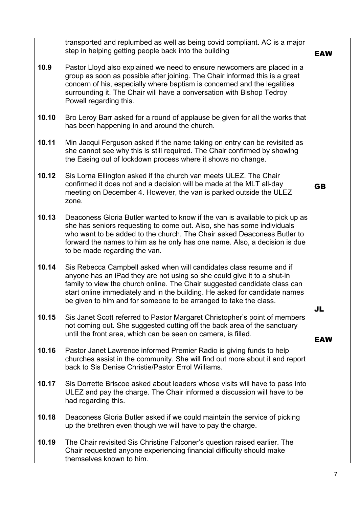|       | transported and replumbed as well as being covid compliant. AC is a major<br>step in helping getting people back into the building                                                                                                                                                                                                                                             | <b>EAW</b>       |
|-------|--------------------------------------------------------------------------------------------------------------------------------------------------------------------------------------------------------------------------------------------------------------------------------------------------------------------------------------------------------------------------------|------------------|
| 10.9  | Pastor Lloyd also explained we need to ensure newcomers are placed in a<br>group as soon as possible after joining. The Chair informed this is a great<br>concern of his, especially where baptism is concerned and the legalities<br>surrounding it. The Chair will have a conversation with Bishop Tedroy<br>Powell regarding this.                                          |                  |
| 10.10 | Bro Leroy Barr asked for a round of applause be given for all the works that<br>has been happening in and around the church.                                                                                                                                                                                                                                                   |                  |
| 10.11 | Min Jacqui Ferguson asked if the name taking on entry can be revisited as<br>she cannot see why this is still required. The Chair confirmed by showing<br>the Easing out of lockdown process where it shows no change.                                                                                                                                                         |                  |
| 10.12 | Sis Lorna Ellington asked if the church van meets ULEZ. The Chair<br>confirmed it does not and a decision will be made at the MLT all-day<br>meeting on December 4. However, the van is parked outside the ULEZ<br>zone.                                                                                                                                                       | <b>GB</b>        |
| 10.13 | Deaconess Gloria Butler wanted to know if the van is available to pick up as<br>she has seniors requesting to come out. Also, she has some individuals<br>who want to be added to the church. The Chair asked Deaconess Butler to<br>forward the names to him as he only has one name. Also, a decision is due<br>to be made regarding the van.                                |                  |
| 10.14 | Sis Rebecca Campbell asked when will candidates class resume and if<br>anyone has an iPad they are not using so she could give it to a shut-in<br>family to view the church online. The Chair suggested candidate class can<br>start online immediately and in the building. He asked for candidate names<br>be given to him and for someone to be arranged to take the class. |                  |
| 10.15 | Sis Janet Scott referred to Pastor Margaret Christopher's point of members<br>not coming out. She suggested cutting off the back area of the sanctuary<br>until the front area, which can be seen on camera, is filled.                                                                                                                                                        | JL<br><b>EAW</b> |
| 10.16 | Pastor Janet Lawrence informed Premier Radio is giving funds to help<br>churches assist in the community. She will find out more about it and report<br>back to Sis Denise Christie/Pastor Errol Williams.                                                                                                                                                                     |                  |
| 10.17 | Sis Dorrette Briscoe asked about leaders whose visits will have to pass into<br>ULEZ and pay the charge. The Chair informed a discussion will have to be<br>had regarding this.                                                                                                                                                                                                |                  |
| 10.18 | Deaconess Gloria Butler asked if we could maintain the service of picking<br>up the brethren even though we will have to pay the charge.                                                                                                                                                                                                                                       |                  |
| 10.19 | The Chair revisited Sis Christine Falconer's question raised earlier. The<br>Chair requested anyone experiencing financial difficulty should make<br>themselves known to him.                                                                                                                                                                                                  |                  |